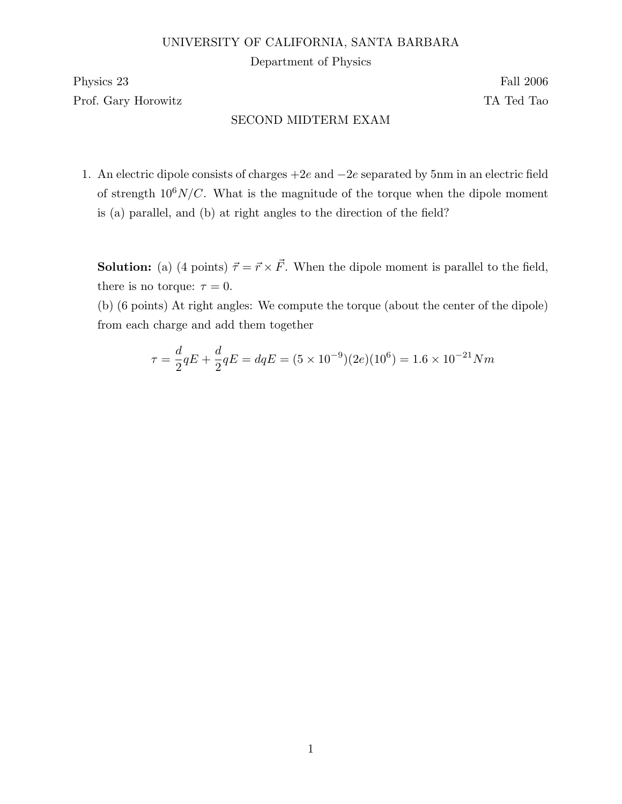## UNIVERSITY OF CALIFORNIA, SANTA BARBARA

Department of Physics

Physics 23 Fall 2006

Prof. Gary Horowitz TA Ted Tao

## SECOND MIDTERM EXAM

1. An electric dipole consists of charges +2e and −2e separated by 5nm in an electric field of strength  $10^6$ N/C. What is the magnitude of the torque when the dipole moment is (a) parallel, and (b) at right angles to the direction of the field?

**Solution:** (a) (4 points)  $\vec{\tau} = \vec{r} \times \vec{F}$ . When the dipole moment is parallel to the field, there is no torque:  $\tau = 0$ .

(b) (6 points) At right angles: We compute the torque (about the center of the dipole) from each charge and add them together

$$
\tau = \frac{d}{2}qE + \frac{d}{2}qE = dqE = (5 \times 10^{-9})(2e)(10^6) = 1.6 \times 10^{-21} Nm
$$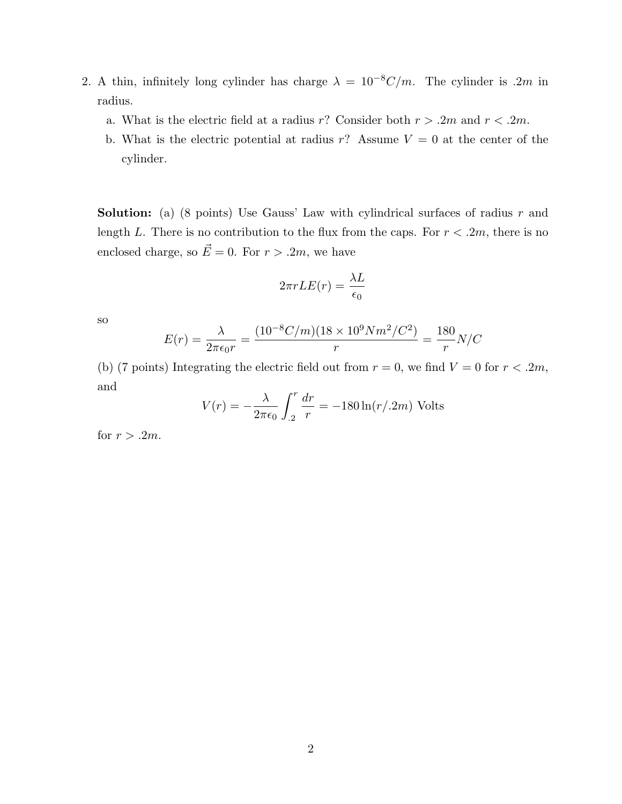- 2. A thin, infinitely long cylinder has charge  $\lambda = 10^{-8}C/m$ . The cylinder is .2m in radius.
	- a. What is the electric field at a radius r? Consider both  $r > .2m$  and  $r < .2m$ .
	- b. What is the electric potential at radius r? Assume  $V = 0$  at the center of the cylinder.

**Solution:** (a) (8 points) Use Gauss' Law with cylindrical surfaces of radius  $r$  and length L. There is no contribution to the flux from the caps. For  $r < 0.2m$ , there is no enclosed charge, so  $\vec{E} = 0$ . For  $r > .2m$ , we have

$$
2\pi rLE(r) = \frac{\lambda L}{\epsilon_0}
$$

so

$$
E(r) = \frac{\lambda}{2\pi\epsilon_0 r} = \frac{(10^{-8}C/m)(18 \times 10^9 N m^2/C^2)}{r} = \frac{180}{r}N/C
$$

(b) (7 points) Integrating the electric field out from  $r = 0$ , we find  $V = 0$  for  $r < .2m$ , and

$$
V(r) = -\frac{\lambda}{2\pi\epsilon_0} \int_{.2}^{r} \frac{dr}{r} = -180 \ln(r/.2m)
$$
 Volts

for  $r > .2m$ .